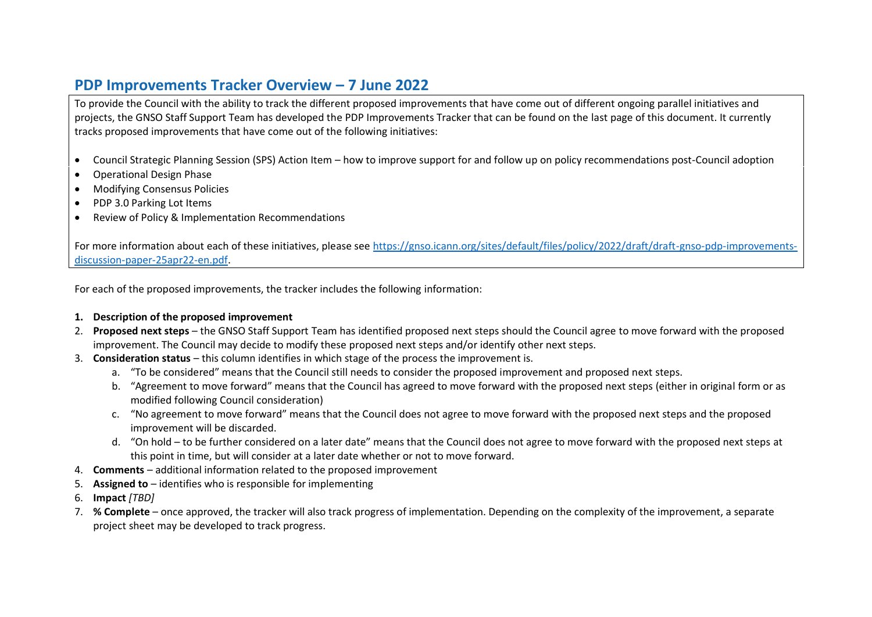## **PDP Improvements Tracker Overview – 7 June 2022**

To provide the Council with the ability to track the different proposed improvements that have come out of different ongoing parallel initiatives and projects, the GNSO Staff Support Team has developed the PDP Improvements Tracker that can be found on the last page of this document. It currently tracks proposed improvements that have come out of the following initiatives:

- Council Strategic Planning Session (SPS) Action Item how to improve support for and follow up on policy recommendations post-Council adoption
- Operational Design Phase
- Modifying Consensus Policies
- PDP 3.0 Parking Lot Items
- Review of Policy & Implementation Recommendations

For more information about each of these initiatives, please see [https://gnso.icann.org/sites/default/files/policy/2022/draft/draft-gnso-pdp-improvements](https://gnso.icann.org/sites/default/files/policy/2022/draft/draft-gnso-pdp-improvements-discussion-paper-25apr22-en.pdf)[discussion-paper-25apr22-en.pdf.](https://gnso.icann.org/sites/default/files/policy/2022/draft/draft-gnso-pdp-improvements-discussion-paper-25apr22-en.pdf)

For each of the proposed improvements, the tracker includes the following information:

## **1. Description of the proposed improvement**

- 2. **Proposed next steps**  the GNSO Staff Support Team has identified proposed next steps should the Council agree to move forward with the proposed improvement. The Council may decide to modify these proposed next steps and/or identify other next steps.
- 3. **Consideration status** this column identifies in which stage of the process the improvement is.
	- a. "To be considered" means that the Council still needs to consider the proposed improvement and proposed next steps.
	- b. "Agreement to move forward" means that the Council has agreed to move forward with the proposed next steps (either in original form or as modified following Council consideration)
	- c. "No agreement to move forward" means that the Council does not agree to move forward with the proposed next steps and the proposed improvement will be discarded.
	- d. "On hold to be further considered on a later date" means that the Council does not agree to move forward with the proposed next steps at this point in time, but will consider at a later date whether or not to move forward.
- 4. **Comments** additional information related to the proposed improvement
- 5. **Assigned to** identifies who is responsible for implementing
- 6. **Impact** *[TBD]*
- 7. **% Complete** once approved, the tracker will also track progress of implementation. Depending on the complexity of the improvement, a separate project sheet may be developed to track progress.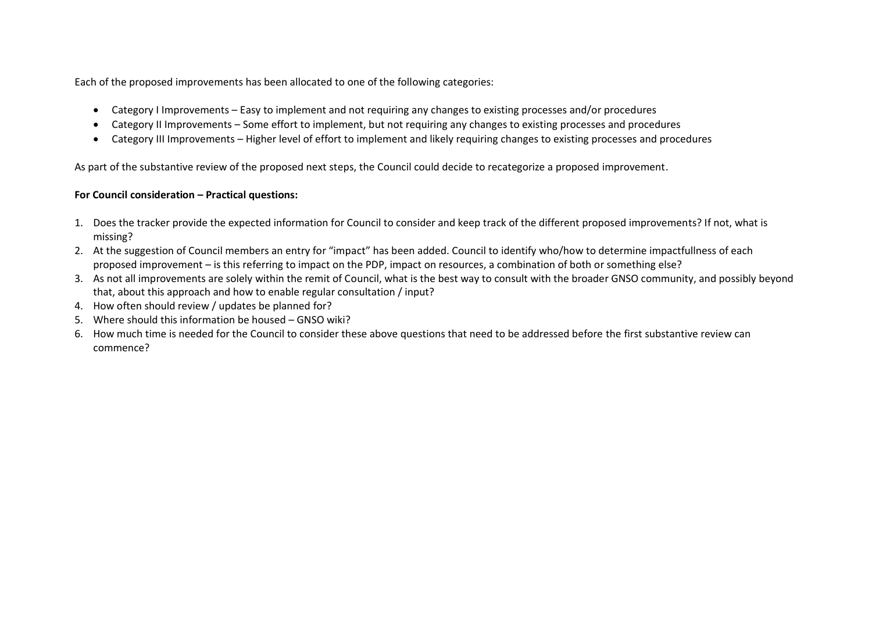Each of the proposed improvements has been allocated to one of the following categories:

- Category I Improvements Easy to implement and not requiring any changes to existing processes and/or procedures
- Category II Improvements Some effort to implement, but not requiring any changes to existing processes and procedures
- Category III Improvements Higher level of effort to implement and likely requiring changes to existing processes and procedures

As part of the substantive review of the proposed next steps, the Council could decide to recategorize a proposed improvement.

## **For Council consideration – Practical questions:**

- 1. Does the tracker provide the expected information for Council to consider and keep track of the different proposed improvements? If not, what is missing?
- 2. At the suggestion of Council members an entry for "impact" has been added. Council to identify who/how to determine impactfullness of each proposed improvement – is this referring to impact on the PDP, impact on resources, a combination of both or something else?
- 3. As not all improvements are solely within the remit of Council, what is the best way to consult with the broader GNSO community, and possibly beyond that, about this approach and how to enable regular consultation / input?
- 4. How often should review / updates be planned for?
- 5. Where should this information be housed GNSO wiki?
- 6. How much time is needed for the Council to consider these above questions that need to be addressed before the first substantive review can commence?